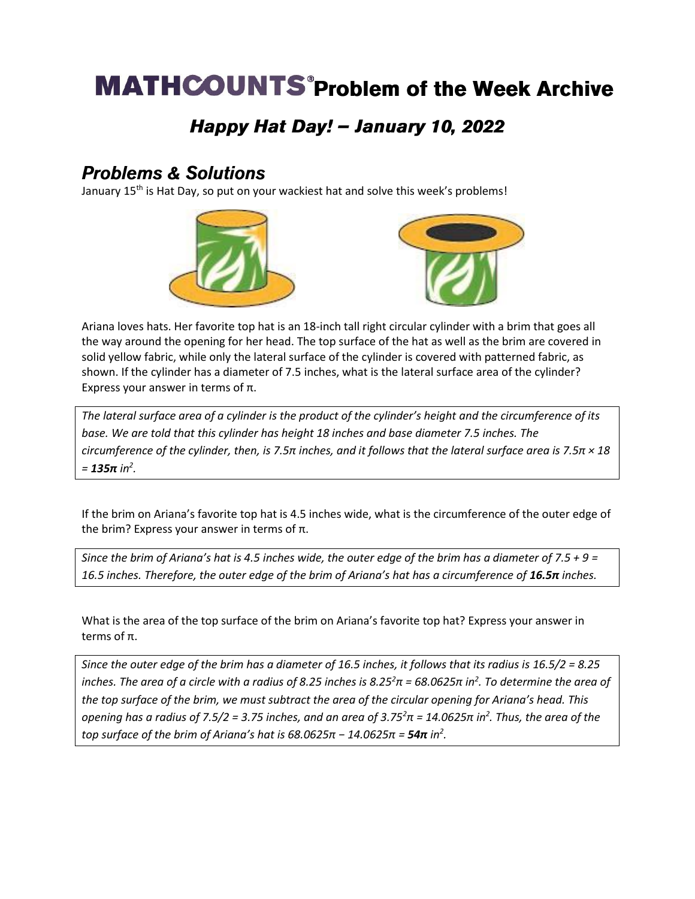# **MATHCOUNTS** Problem of the Week Archive

### Happy Hat Day! - January 10, 2022

#### **Problems & Solutions**

January 15<sup>th</sup> is Hat Day, so put on your wackiest hat and solve this week's problems!



Ariana loves hats. Her favorite top hat is an 18-inch tall right circular cylinder with a brim that goes all the way around the opening for her head. The top surface of the hat as well as the brim are covered in solid yellow fabric, while only the lateral surface of the cylinder is covered with patterned fabric, as shown. If the cylinder has a diameter of 7.5 inches, what is the lateral surface area of the cylinder? Express your answer in terms of π.

*The lateral surface area of a cylinder is the product of the cylinder's height and the circumference of its base. We are told that this cylinder has height 18 inches and base diameter 7.5 inches. The circumference of the cylinder, then, is 7.5π inches, and it follows that the lateral surface area is 7.5π × 18 = 135π in<sup>2</sup> .*

If the brim on Ariana's favorite top hat is 4.5 inches wide, what is the circumference of the outer edge of the brim? Express your answer in terms of  $π$ .

*Since the brim of Ariana's hat is 4.5 inches wide, the outer edge of the brim has a diameter of 7.5 + 9 = 16.5 inches. Therefore, the outer edge of the brim of Ariana's hat has a circumference of 16.5π inches.*

What is the area of the top surface of the brim on Ariana's favorite top hat? Express your answer in terms of π.

*Since the outer edge of the brim has a diameter of 16.5 inches, it follows that its radius is 16.5/2 = 8.25 inches. The area of a circle with a radius of 8.25 inches is 8.25<sup>2</sup>π = 68.0625π in<sup>2</sup> . To determine the area of the top surface of the brim, we must subtract the area of the circular opening for Ariana's head. This opening has a radius of 7.5/2 = 3.75 inches, and an area of 3.75<sup>2</sup>π = 14.0625π in<sup>2</sup> . Thus, the area of the top surface of the brim of Ariana's hat is 68.0625π − 14.0625π = 54π in<sup>2</sup> .*